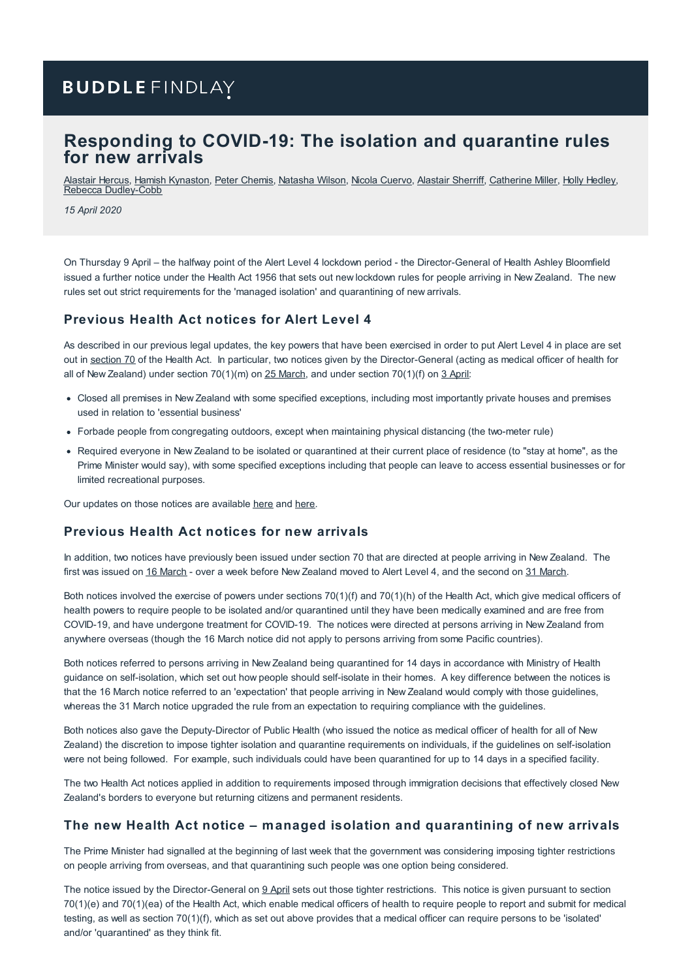# **BUDDLE FINDLAY**

# **Responding to COVID-19: The isolation and quarantine rules for new arrivals**

[Alastair](https://www.buddlefindlay.com/people/alastair-hercus/) Hercus, Hamish [Kynaston](https://www.buddlefindlay.com/people/hamish-kynaston/), Peter [Chemis](https://www.buddlefindlay.com/people/peter-chemis/), [Natasha](https://www.buddlefindlay.com/people/natasha-wilson/) Wilson, Nicola [Cuervo](https://www.buddlefindlay.com/people/nicola-cuervo/), [Alastair](https://www.buddlefindlay.com/people/alastair-sherriff/) Sherriff, [Catherine](https://www.buddlefindlay.com/people/catherine-miller/) Miller, Holly [Hedley](https://www.buddlefindlay.com/people/holly-hedley/), Rebecca [Dudley-Cobb](https://www.buddlefindlay.com/people/rebecca-dudley-cobb/)

*15 April 2020*

On Thursday 9 April – the halfway point of the Alert Level 4 lockdown period - the Director-General of Health Ashley Bloomfield issued a further notice under the Health Act 1956 that sets out new lockdown rules for people arriving in New Zealand. The new rules set out strict requirements for the 'managed isolation' and quarantining of new arrivals.

## **Previous Health Act notices for Alert Level 4**

As described in our previous legal updates, the key powers that have been exercised in order to put Alert Level 4 in place are set out in [section](http://www.legislation.govt.nz/act/public/1956/0065/latest/DLM307083.html?search=sw_096be8ed819562fd_quarantin*_25_se&p=1) 70 of the Health Act. In particular, two notices given by the Director-General (acting as medical officer of health for all of New Zealand) under section  $70(1)(m)$  on  $25$  [March](https://covid19.govt.nz/assets/resources/legislation-and-key-documents/COVID-19-Section-701m-notice-to-close-premises-and-forbidding-congregation-in-outdoor-places-of-amusement-or-recreation-25-March-2020.pdf), and under section  $70(1)(f)$  on  $3$  [April](https://covid19.govt.nz/assets/resources/legislation-and-key-documents/COVID-19-Section-701f-Notice-to-all-persons-in-New-Zealand-3-April-2020.PDF):

- Closed all premises in New Zealand with some specified exceptions, including most importantly private houses and premises used in relation to 'essential business'
- Forbade people from congregating outdoors, except when maintaining physical distancing (the two-meter rule)
- Required everyone in New Zealand to be isolated or quarantined at their current place of residence (to "stay at home", as the Prime Minister would say), with some specified exceptions including that people can leave to access essential businesses or for limited recreational purposes.

Our updates on those notices are available [here](https://www.buddlefindlay.com/insights/responding-to-covid-19-moving-new-zealand-to-alert-level-4-and-beyond/) and [here](https://www.buddlefindlay.com/insights/responding-to-covid-19-a-further-health-act-order-clarifies-the-lockdown-rules/).

### **Previous Health Act notices for new arrivals**

In addition, two notices have previously been issued under section 70 that are directed at people arriving in New Zealand. The first was issued on 16 [March](https://covid19.govt.nz/assets/resources/legislation-and-key-documents/COVID-19-Section-701f-Notice-to-arrivals-16-March-2020.PDF) - over a week before New Zealand moved to Alert Level 4, and the second on 31 [March.](https://covid19.govt.nz/assets/resources/legislation-and-key-documents/COVID-19-Section-701f-Notice-to-arrivals-31-March-2020.PDF)

Both notices involved the exercise of powers under sections 70(1)(f) and 70(1)(h) of the Health Act, which give medical officers of health powers to require people to be isolated and/or quarantined until they have been medically examined and are free from COVID-19, and have undergone treatment for COVID-19. The notices were directed at persons arriving in New Zealand from anywhere overseas (though the 16 March notice did not apply to persons arriving from some Pacific countries).

Both notices referred to persons arriving in New Zealand being quarantined for 14 days in accordance with Ministry of Health guidance on self-isolation, which set out how people should self-isolate in their homes. A key difference between the notices is that the 16 March notice referred to an 'expectation' that people arriving in New Zealand would comply with those guidelines, whereas the 31 March notice upgraded the rule from an expectation to requiring compliance with the guidelines.

Both notices also gave the Deputy-Director of Public Health (who issued the notice as medical officer of health for all of New Zealand) the discretion to impose tighter isolation and quarantine requirements on individuals, if the guidelines on self-isolation were not being followed. For example, such individuals could have been quarantined for up to 14 days in a specified facility.

The two Health Act notices applied in addition to requirements imposed through immigration decisions that effectively closed New Zealand's borders to everyone but returning citizens and permanent residents.

### **The new Health Act notice – managed isolation and quarantining of new arrivals**

The Prime Minister had signalled at the beginning of last week that the government was considering imposing tighter restrictions on people arriving from overseas, and that quarantining such people was one option being considered.

The notice issued by the Director-General on 9 [April](https://covid19.govt.nz/assets/resources/legislation-and-key-documents/COVID-19-Section-70-order-9-April-2020.pdf) sets out those tighter restrictions. This notice is given pursuant to section 70(1)(e) and 70(1)(ea) of the Health Act, which enable medical officers of health to require people to report and submit for medical testing, as well as section 70(1)(f), which as set out above provides that a medical officer can require persons to be 'isolated' and/or 'quarantined' as they think fit.